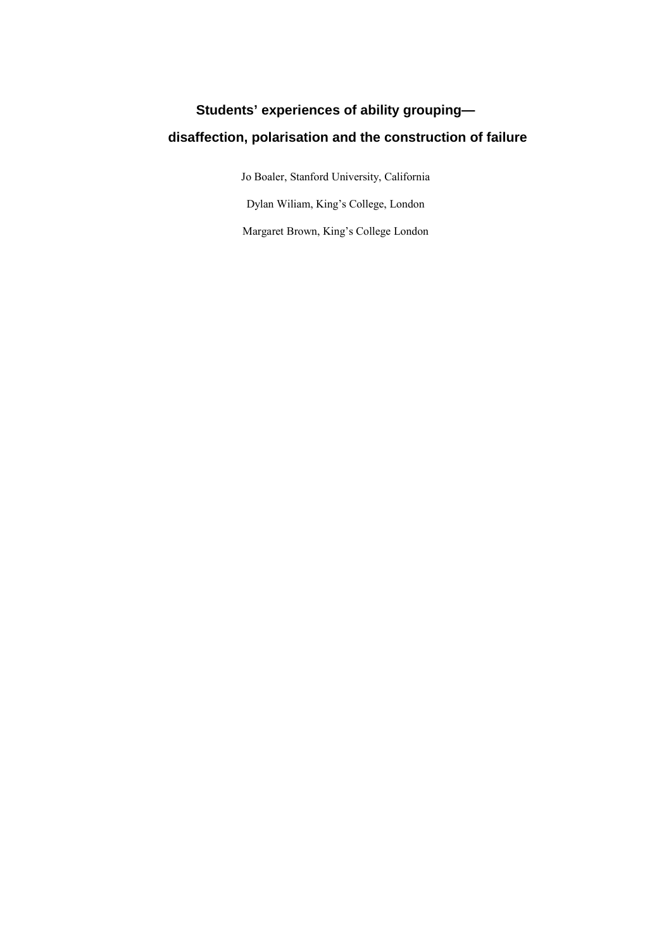# **Students' experiences of ability grouping disaffection, polarisation and the construction of failure**

Jo Boaler, Stanford University, California Dylan Wiliam, King's College, London Margaret Brown, King's College London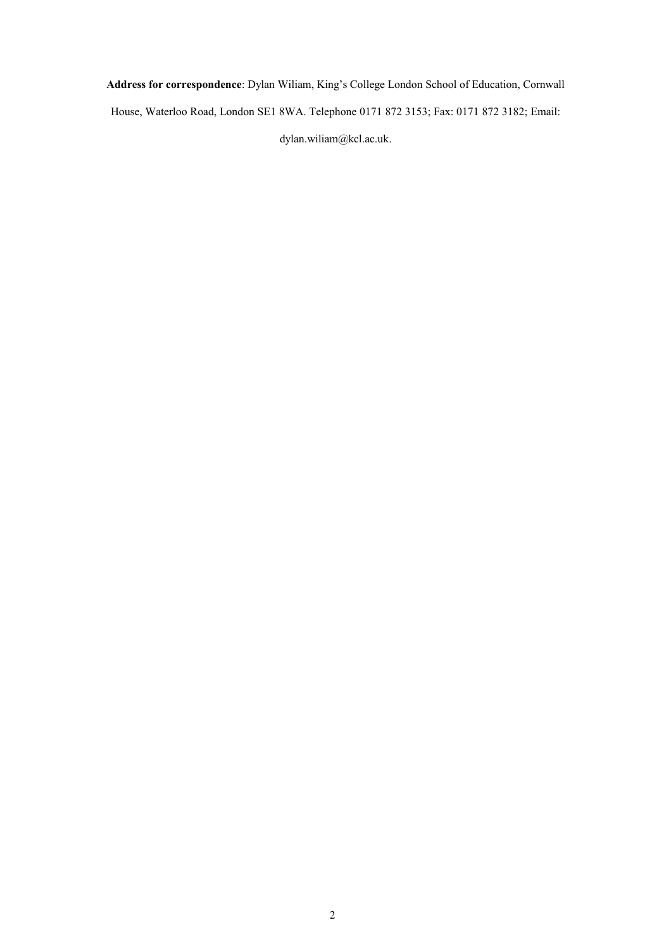**Address for correspondence**: Dylan Wiliam, King's College London School of Education, Cornwall House, Waterloo Road, London SE1 8WA. Telephone 0171 872 3153; Fax: 0171 872 3182; Email: dylan.wiliam@kcl.ac.uk.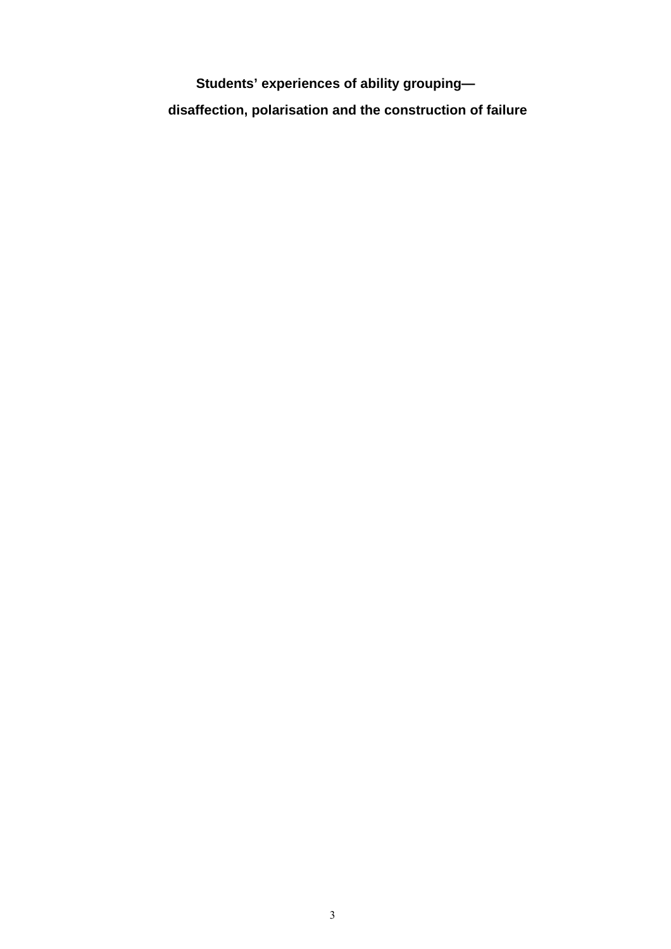**Students' experiences of ability grouping disaffection, polarisation and the construction of failure**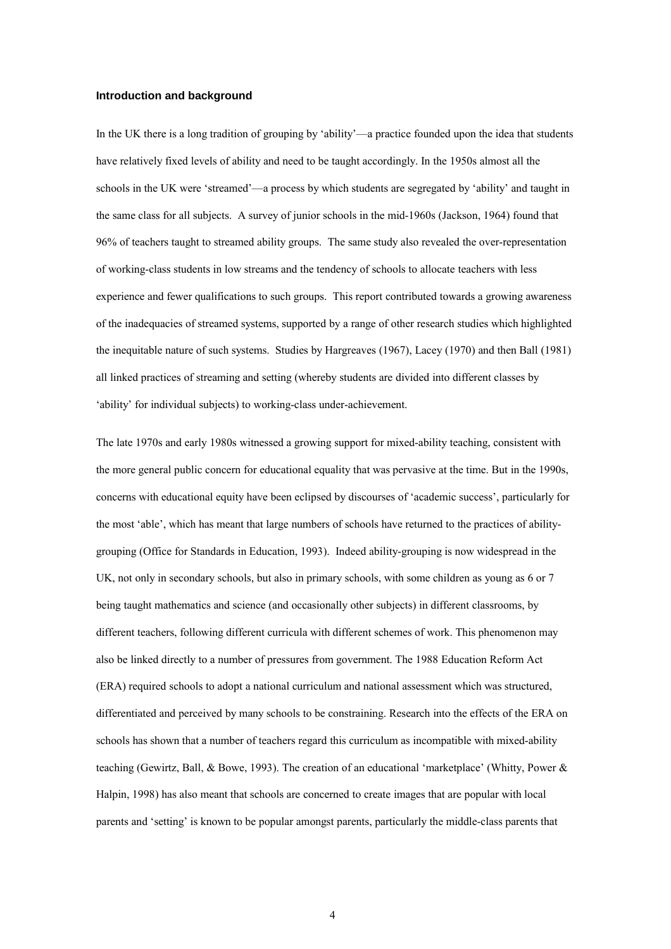# **Introduction and background**

In the UK there is a long tradition of grouping by 'ability'—a practice founded upon the idea that students have relatively fixed levels of ability and need to be taught accordingly. In the 1950s almost all the schools in the UK were 'streamed'—a process by which students are segregated by 'ability' and taught in the same class for all subjects. A survey of junior schools in the mid-1960s (Jackson, 1964) found that 96% of teachers taught to streamed ability groups. The same study also revealed the over-representation of working-class students in low streams and the tendency of schools to allocate teachers with less experience and fewer qualifications to such groups. This report contributed towards a growing awareness of the inadequacies of streamed systems, supported by a range of other research studies which highlighted the inequitable nature of such systems. Studies by Hargreaves (1967), Lacey (1970) and then Ball (1981) all linked practices of streaming and setting (whereby students are divided into different classes by 'ability' for individual subjects) to working-class under-achievement.

The late 1970s and early 1980s witnessed a growing support for mixed-ability teaching, consistent with the more general public concern for educational equality that was pervasive at the time. But in the 1990s, concerns with educational equity have been eclipsed by discourses of 'academic success', particularly for the most 'able', which has meant that large numbers of schools have returned to the practices of abilitygrouping (Office for Standards in Education, 1993). Indeed ability-grouping is now widespread in the UK, not only in secondary schools, but also in primary schools, with some children as young as 6 or 7 being taught mathematics and science (and occasionally other subjects) in different classrooms, by different teachers, following different curricula with different schemes of work. This phenomenon may also be linked directly to a number of pressures from government. The 1988 Education Reform Act (ERA) required schools to adopt a national curriculum and national assessment which was structured, differentiated and perceived by many schools to be constraining. Research into the effects of the ERA on schools has shown that a number of teachers regard this curriculum as incompatible with mixed-ability teaching (Gewirtz, Ball, & Bowe, 1993). The creation of an educational 'marketplace' (Whitty, Power & Halpin, 1998) has also meant that schools are concerned to create images that are popular with local parents and 'setting' is known to be popular amongst parents, particularly the middle-class parents that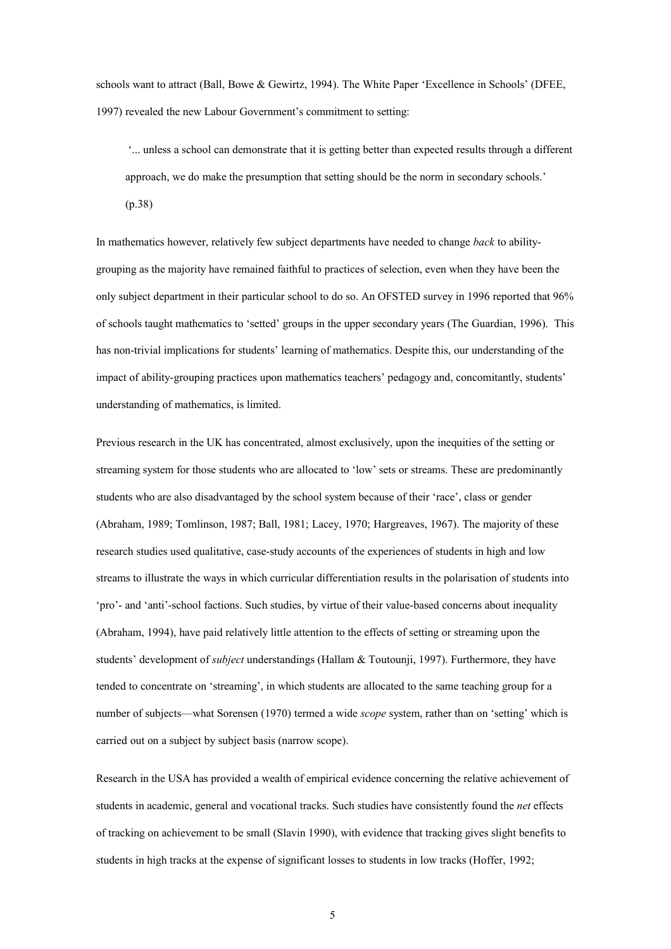schools want to attract (Ball, Bowe & Gewirtz, 1994). The White Paper 'Excellence in Schools' (DFEE, 1997) revealed the new Labour Government's commitment to setting:

 '... unless a school can demonstrate that it is getting better than expected results through a different approach, we do make the presumption that setting should be the norm in secondary schools.' (p.38)

In mathematics however, relatively few subject departments have needed to change *back* to abilitygrouping as the majority have remained faithful to practices of selection, even when they have been the only subject department in their particular school to do so. An OFSTED survey in 1996 reported that 96% of schools taught mathematics to 'setted' groups in the upper secondary years (The Guardian, 1996). This has non-trivial implications for students' learning of mathematics. Despite this, our understanding of the impact of ability-grouping practices upon mathematics teachers' pedagogy and, concomitantly, students' understanding of mathematics, is limited.

Previous research in the UK has concentrated, almost exclusively, upon the inequities of the setting or streaming system for those students who are allocated to 'low' sets or streams. These are predominantly students who are also disadvantaged by the school system because of their 'race', class or gender (Abraham, 1989; Tomlinson, 1987; Ball, 1981; Lacey, 1970; Hargreaves, 1967). The majority of these research studies used qualitative, case-study accounts of the experiences of students in high and low streams to illustrate the ways in which curricular differentiation results in the polarisation of students into 'pro'- and 'anti'-school factions. Such studies, by virtue of their value-based concerns about inequality (Abraham, 1994), have paid relatively little attention to the effects of setting or streaming upon the students' development of *subject* understandings (Hallam & Toutounji, 1997). Furthermore, they have tended to concentrate on 'streaming', in which students are allocated to the same teaching group for a number of subjects—what Sorensen (1970) termed a wide *scope* system, rather than on 'setting' which is carried out on a subject by subject basis (narrow scope).

Research in the USA has provided a wealth of empirical evidence concerning the relative achievement of students in academic, general and vocational tracks. Such studies have consistently found the *net* effects of tracking on achievement to be small (Slavin 1990), with evidence that tracking gives slight benefits to students in high tracks at the expense of significant losses to students in low tracks (Hoffer, 1992;

5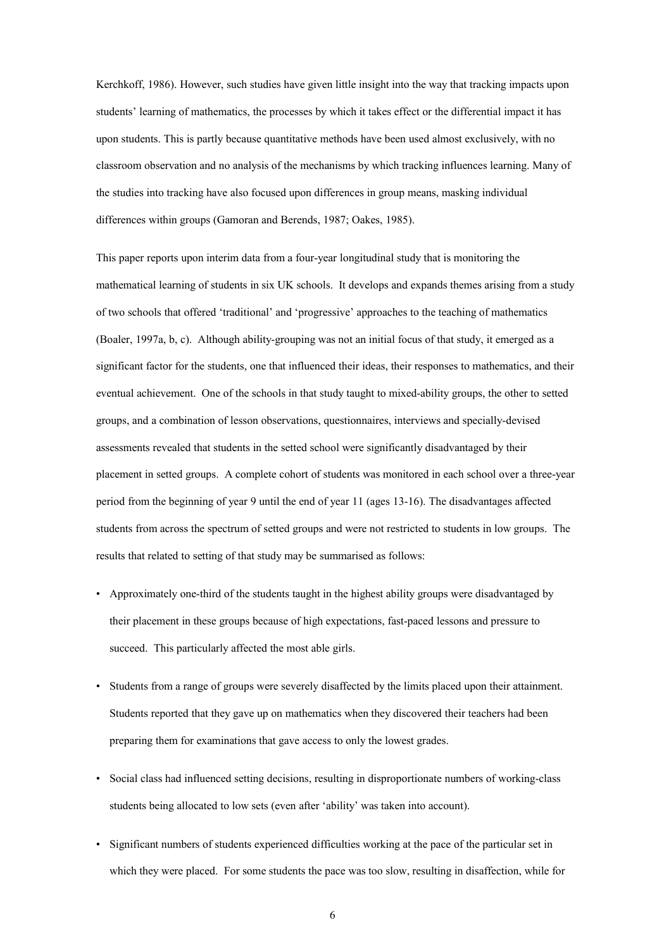Kerchkoff, 1986). However, such studies have given little insight into the way that tracking impacts upon students' learning of mathematics, the processes by which it takes effect or the differential impact it has upon students. This is partly because quantitative methods have been used almost exclusively, with no classroom observation and no analysis of the mechanisms by which tracking influences learning. Many of the studies into tracking have also focused upon differences in group means, masking individual differences within groups (Gamoran and Berends, 1987; Oakes, 1985).

This paper reports upon interim data from a four-year longitudinal study that is monitoring the mathematical learning of students in six UK schools. It develops and expands themes arising from a study of two schools that offered 'traditional' and 'progressive' approaches to the teaching of mathematics (Boaler, 1997a, b, c). Although ability-grouping was not an initial focus of that study, it emerged as a significant factor for the students, one that influenced their ideas, their responses to mathematics, and their eventual achievement. One of the schools in that study taught to mixed-ability groups, the other to setted groups, and a combination of lesson observations, questionnaires, interviews and specially-devised assessments revealed that students in the setted school were significantly disadvantaged by their placement in setted groups. A complete cohort of students was monitored in each school over a three-year period from the beginning of year 9 until the end of year 11 (ages 13-16). The disadvantages affected students from across the spectrum of setted groups and were not restricted to students in low groups. The results that related to setting of that study may be summarised as follows:

- Approximately one-third of the students taught in the highest ability groups were disadvantaged by their placement in these groups because of high expectations, fast-paced lessons and pressure to succeed. This particularly affected the most able girls.
- Students from a range of groups were severely disaffected by the limits placed upon their attainment. Students reported that they gave up on mathematics when they discovered their teachers had been preparing them for examinations that gave access to only the lowest grades.
- Social class had influenced setting decisions, resulting in disproportionate numbers of working-class students being allocated to low sets (even after 'ability' was taken into account).
- Significant numbers of students experienced difficulties working at the pace of the particular set in which they were placed. For some students the pace was too slow, resulting in disaffection, while for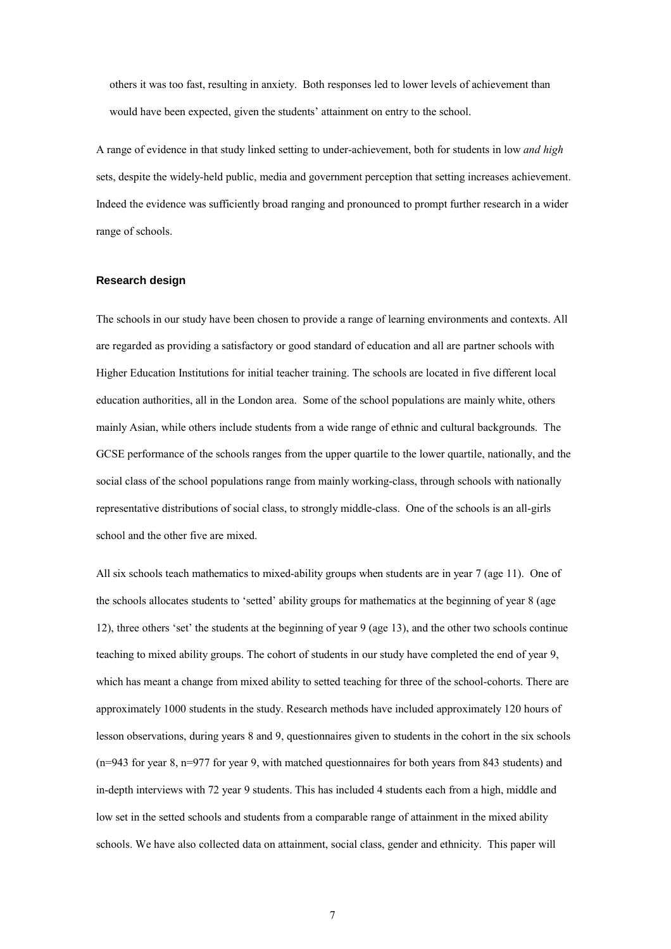others it was too fast, resulting in anxiety. Both responses led to lower levels of achievement than would have been expected, given the students' attainment on entry to the school.

A range of evidence in that study linked setting to under-achievement, both for students in low *and high* sets, despite the widely-held public, media and government perception that setting increases achievement. Indeed the evidence was sufficiently broad ranging and pronounced to prompt further research in a wider range of schools.

### **Research design**

The schools in our study have been chosen to provide a range of learning environments and contexts. All are regarded as providing a satisfactory or good standard of education and all are partner schools with Higher Education Institutions for initial teacher training. The schools are located in five different local education authorities, all in the London area. Some of the school populations are mainly white, others mainly Asian, while others include students from a wide range of ethnic and cultural backgrounds. The GCSE performance of the schools ranges from the upper quartile to the lower quartile, nationally, and the social class of the school populations range from mainly working-class, through schools with nationally representative distributions of social class, to strongly middle-class. One of the schools is an all-girls school and the other five are mixed.

All six schools teach mathematics to mixed-ability groups when students are in year 7 (age 11). One of the schools allocates students to 'setted' ability groups for mathematics at the beginning of year 8 (age 12), three others 'set' the students at the beginning of year 9 (age 13), and the other two schools continue teaching to mixed ability groups. The cohort of students in our study have completed the end of year 9, which has meant a change from mixed ability to setted teaching for three of the school-cohorts. There are approximately 1000 students in the study. Research methods have included approximately 120 hours of lesson observations, during years 8 and 9, questionnaires given to students in the cohort in the six schools (n=943 for year 8, n=977 for year 9, with matched questionnaires for both years from 843 students) and in-depth interviews with 72 year 9 students. This has included 4 students each from a high, middle and low set in the setted schools and students from a comparable range of attainment in the mixed ability schools. We have also collected data on attainment, social class, gender and ethnicity. This paper will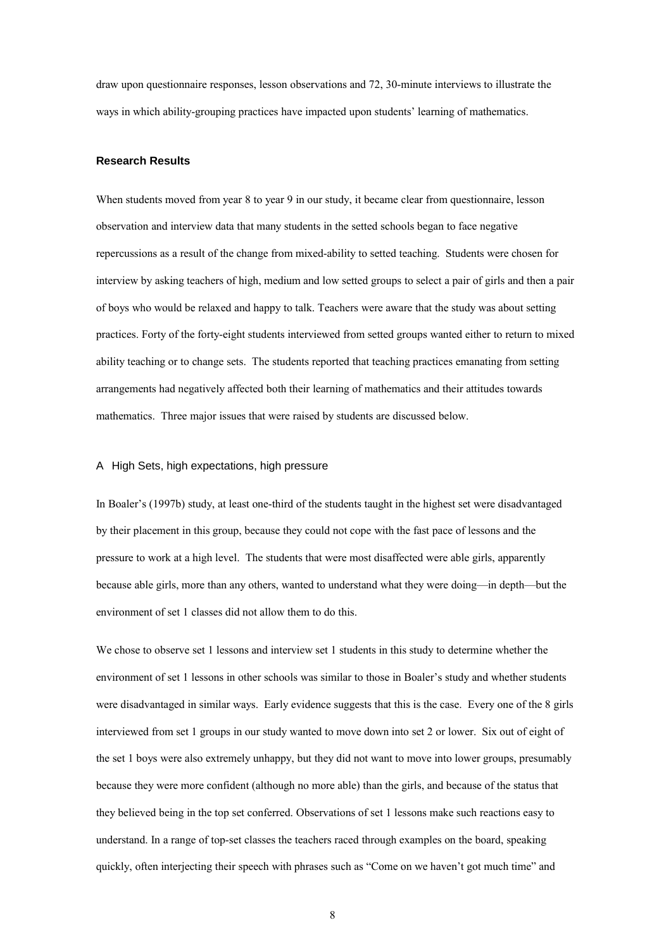draw upon questionnaire responses, lesson observations and 72, 30-minute interviews to illustrate the ways in which ability-grouping practices have impacted upon students' learning of mathematics.

#### **Research Results**

When students moved from year 8 to year 9 in our study, it became clear from questionnaire, lesson observation and interview data that many students in the setted schools began to face negative repercussions as a result of the change from mixed-ability to setted teaching. Students were chosen for interview by asking teachers of high, medium and low setted groups to select a pair of girls and then a pair of boys who would be relaxed and happy to talk. Teachers were aware that the study was about setting practices. Forty of the forty-eight students interviewed from setted groups wanted either to return to mixed ability teaching or to change sets. The students reported that teaching practices emanating from setting arrangements had negatively affected both their learning of mathematics and their attitudes towards mathematics. Three major issues that were raised by students are discussed below.

# A High Sets, high expectations, high pressure

In Boaler's (1997b) study, at least one-third of the students taught in the highest set were disadvantaged by their placement in this group, because they could not cope with the fast pace of lessons and the pressure to work at a high level. The students that were most disaffected were able girls, apparently because able girls, more than any others, wanted to understand what they were doing—in depth—but the environment of set 1 classes did not allow them to do this.

We chose to observe set 1 lessons and interview set 1 students in this study to determine whether the environment of set 1 lessons in other schools was similar to those in Boaler's study and whether students were disadvantaged in similar ways. Early evidence suggests that this is the case. Every one of the 8 girls interviewed from set 1 groups in our study wanted to move down into set 2 or lower. Six out of eight of the set 1 boys were also extremely unhappy, but they did not want to move into lower groups, presumably because they were more confident (although no more able) than the girls, and because of the status that they believed being in the top set conferred. Observations of set 1 lessons make such reactions easy to understand. In a range of top-set classes the teachers raced through examples on the board, speaking quickly, often interjecting their speech with phrases such as "Come on we haven't got much time" and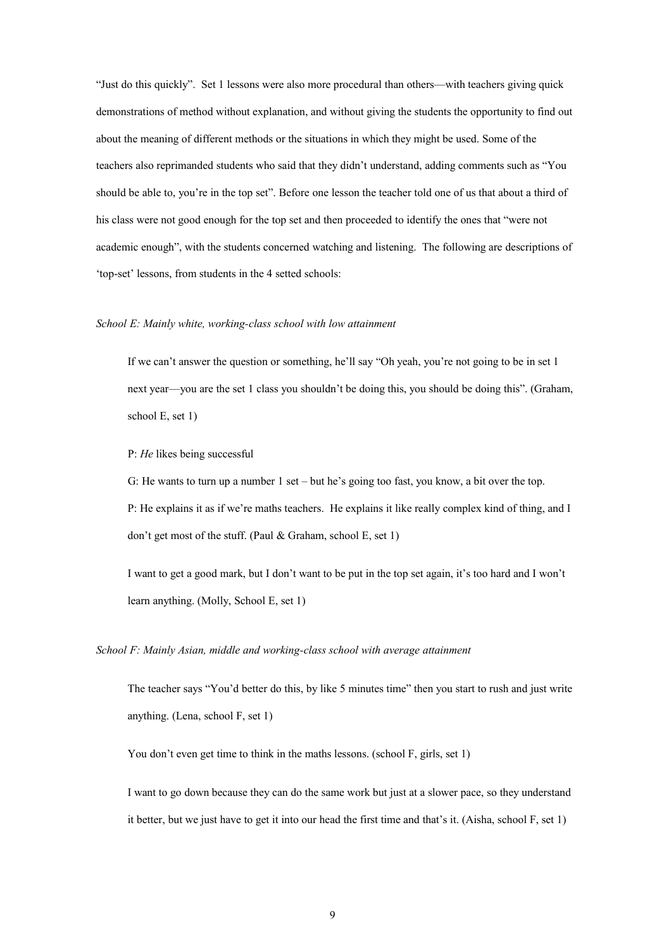"Just do this quickly". Set 1 lessons were also more procedural than others—with teachers giving quick demonstrations of method without explanation, and without giving the students the opportunity to find out about the meaning of different methods or the situations in which they might be used. Some of the teachers also reprimanded students who said that they didn't understand, adding comments such as "You should be able to, you're in the top set". Before one lesson the teacher told one of us that about a third of his class were not good enough for the top set and then proceeded to identify the ones that "were not academic enough", with the students concerned watching and listening. The following are descriptions of 'top-set' lessons, from students in the 4 setted schools:

### *School E: Mainly white, working-class school with low attainment*

If we can't answer the question or something, he'll say "Oh yeah, you're not going to be in set 1 next year—you are the set 1 class you shouldn't be doing this, you should be doing this". (Graham, school E, set 1)

P: *He* likes being successful

G: He wants to turn up a number 1 set – but he's going too fast, you know, a bit over the top. P: He explains it as if we're maths teachers. He explains it like really complex kind of thing, and I don't get most of the stuff. (Paul & Graham, school E, set 1)

I want to get a good mark, but I don't want to be put in the top set again, it's too hard and I won't learn anything. (Molly, School E, set 1)

# *School F: Mainly Asian, middle and working-class school with average attainment*

The teacher says "You'd better do this, by like 5 minutes time" then you start to rush and just write anything. (Lena, school F, set 1)

You don't even get time to think in the maths lessons. (school F, girls, set 1)

I want to go down because they can do the same work but just at a slower pace, so they understand it better, but we just have to get it into our head the first time and that's it. (Aisha, school F, set 1)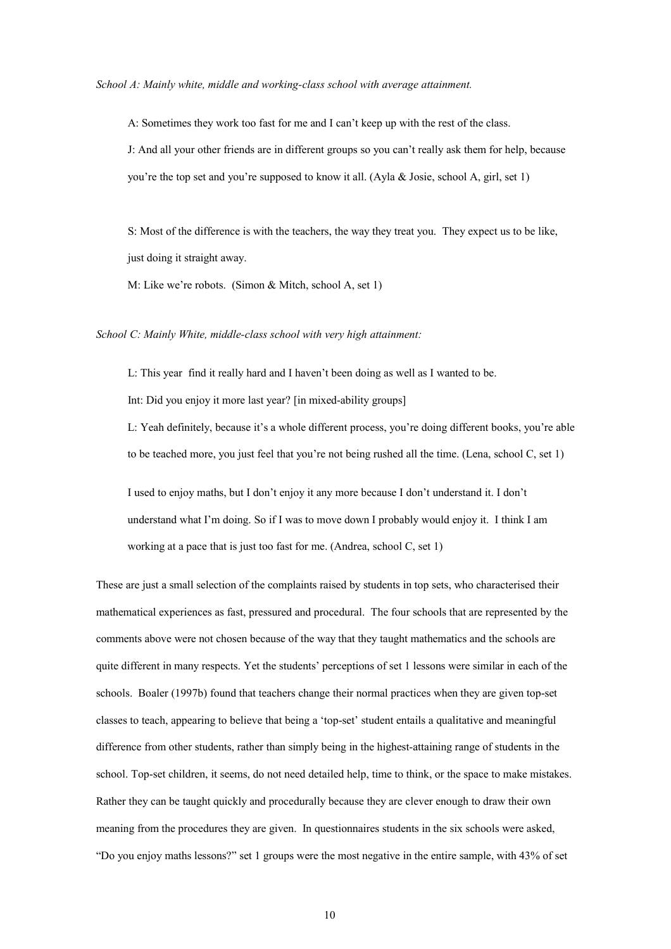*School A: Mainly white, middle and working-class school with average attainment.*

A: Sometimes they work too fast for me and I can't keep up with the rest of the class.

J: And all your other friends are in different groups so you can't really ask them for help, because you're the top set and you're supposed to know it all. (Ayla & Josie, school A, girl, set 1)

S: Most of the difference is with the teachers, the way they treat you. They expect us to be like, just doing it straight away.

M: Like we're robots. (Simon & Mitch, school A, set 1)

*School C: Mainly White, middle-class school with very high attainment:*

L: This year find it really hard and I haven't been doing as well as I wanted to be.

Int: Did you enjoy it more last year? [in mixed-ability groups]

L: Yeah definitely, because it's a whole different process, you're doing different books, you're able to be teached more, you just feel that you're not being rushed all the time. (Lena, school C, set 1)

I used to enjoy maths, but I don't enjoy it any more because I don't understand it. I don't understand what I'm doing. So if I was to move down I probably would enjoy it. I think I am working at a pace that is just too fast for me. (Andrea, school C, set 1)

These are just a small selection of the complaints raised by students in top sets, who characterised their mathematical experiences as fast, pressured and procedural. The four schools that are represented by the comments above were not chosen because of the way that they taught mathematics and the schools are quite different in many respects. Yet the students' perceptions of set 1 lessons were similar in each of the schools. Boaler (1997b) found that teachers change their normal practices when they are given top-set classes to teach, appearing to believe that being a 'top-set' student entails a qualitative and meaningful difference from other students, rather than simply being in the highest-attaining range of students in the school. Top-set children, it seems, do not need detailed help, time to think, or the space to make mistakes. Rather they can be taught quickly and procedurally because they are clever enough to draw their own meaning from the procedures they are given. In questionnaires students in the six schools were asked, "Do you enjoy maths lessons?" set 1 groups were the most negative in the entire sample, with 43% of set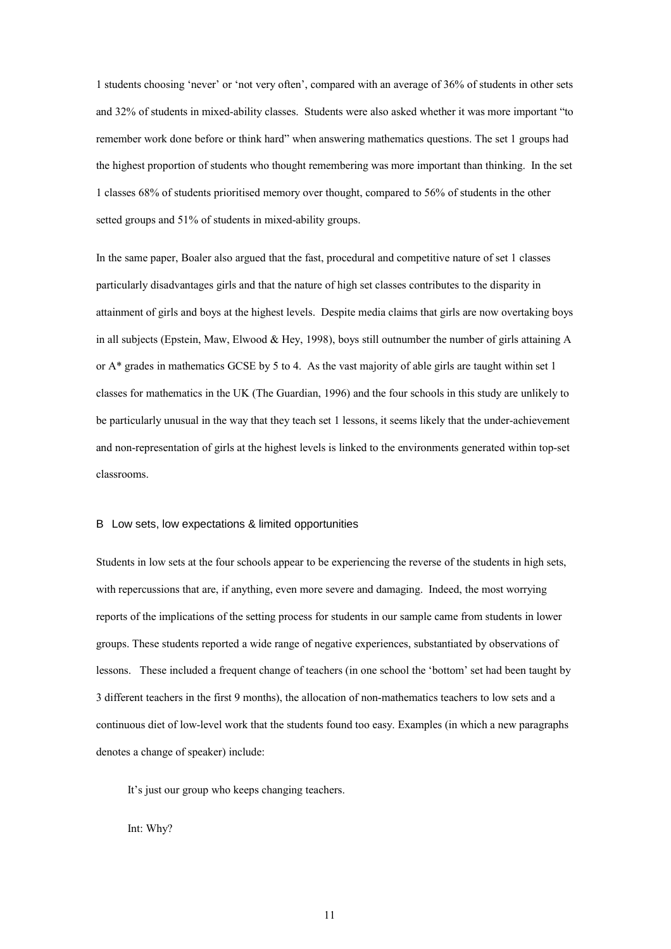1 students choosing 'never' or 'not very often', compared with an average of 36% of students in other sets and 32% of students in mixed-ability classes. Students were also asked whether it was more important "to remember work done before or think hard" when answering mathematics questions. The set 1 groups had the highest proportion of students who thought remembering was more important than thinking. In the set 1 classes 68% of students prioritised memory over thought, compared to 56% of students in the other setted groups and 51% of students in mixed-ability groups.

In the same paper, Boaler also argued that the fast, procedural and competitive nature of set 1 classes particularly disadvantages girls and that the nature of high set classes contributes to the disparity in attainment of girls and boys at the highest levels. Despite media claims that girls are now overtaking boys in all subjects (Epstein, Maw, Elwood & Hey, 1998), boys still outnumber the number of girls attaining A or  $A^*$  grades in mathematics GCSE by 5 to 4. As the vast majority of able girls are taught within set 1 classes for mathematics in the UK (The Guardian, 1996) and the four schools in this study are unlikely to be particularly unusual in the way that they teach set 1 lessons, it seems likely that the under-achievement and non-representation of girls at the highest levels is linked to the environments generated within top-set classrooms.

#### B Low sets, low expectations & limited opportunities

Students in low sets at the four schools appear to be experiencing the reverse of the students in high sets, with repercussions that are, if anything, even more severe and damaging. Indeed, the most worrying reports of the implications of the setting process for students in our sample came from students in lower groups. These students reported a wide range of negative experiences, substantiated by observations of lessons. These included a frequent change of teachers (in one school the 'bottom' set had been taught by 3 different teachers in the first 9 months), the allocation of non-mathematics teachers to low sets and a continuous diet of low-level work that the students found too easy. Examples (in which a new paragraphs denotes a change of speaker) include:

It's just our group who keeps changing teachers.

Int: Why?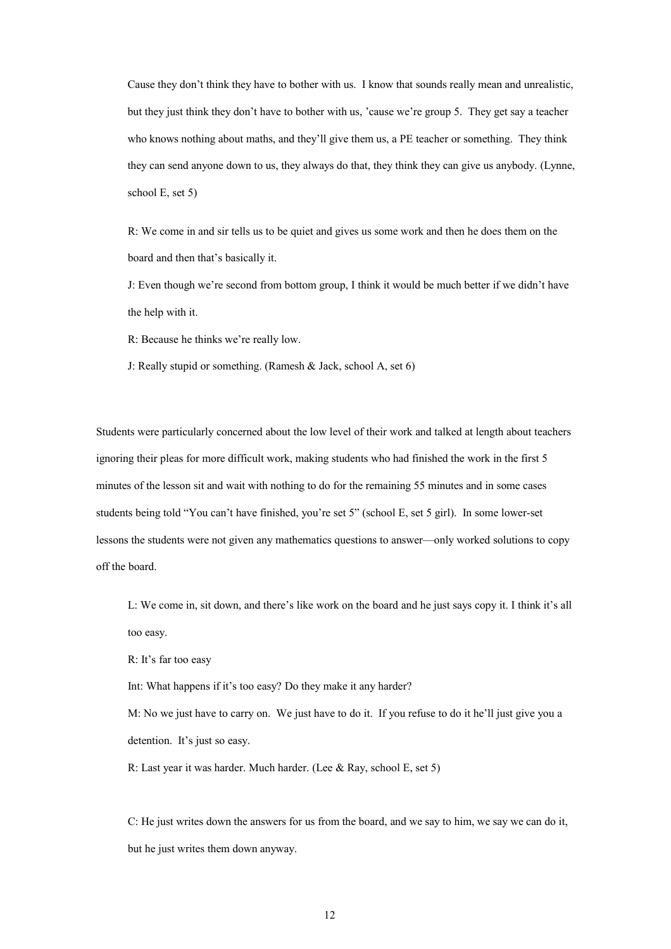Cause they don't think they have to bother with us. I know that sounds really mean and unrealistic, but they just think they don't have to bother with us, 'cause we're group 5. They get say a teacher who knows nothing about maths, and they'll give them us, a PE teacher or something. They think they can send anyone down to us, they always do that, they think they can give us anybody. (Lynne, school E, set 5)

R: We come in and sir tells us to be quiet and gives us some work and then he does them on the board and then that's basically it.

J: Even though we're second from bottom group, I think it would be much better if we didn't have the help with it.

R: Because he thinks we're really low.

J: Really stupid or something. (Ramesh & Jack, school A, set 6)

Students were particularly concerned about the low level of their work and talked at length about teachers ignoring their pleas for more difficult work, making students who had finished the work in the first 5 minutes of the lesson sit and wait with nothing to do for the remaining 55 minutes and in some cases students being told "You can't have finished, you're set 5" (school E, set 5 girl). In some lower-set lessons the students were not given any mathematics questions to answer—only worked solutions to copy off the board.

L: We come in, sit down, and there's like work on the board and he just says copy it. I think it's all too easy.

R: It's far too easy

Int: What happens if it's too easy? Do they make it any harder?

M: No we just have to carry on. We just have to do it. If you refuse to do it he'll just give you a detention. It's just so easy.

R: Last year it was harder. Much harder. (Lee & Ray, school E, set 5)

C: He just writes down the answers for us from the board, and we say to him, we say we can do it, but he just writes them down anyway.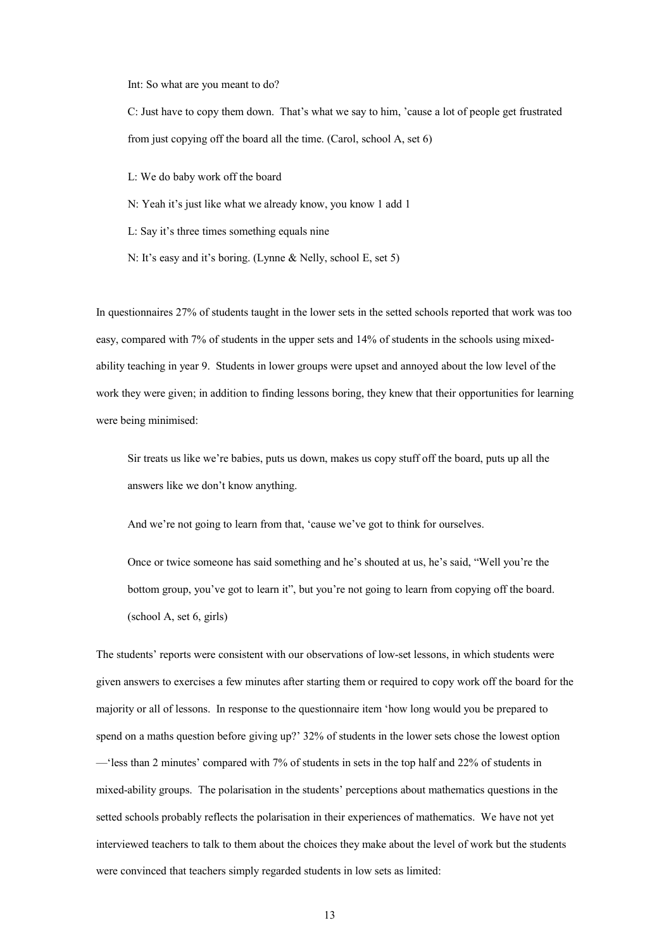Int: So what are you meant to do?

C: Just have to copy them down. That's what we say to him, 'cause a lot of people get frustrated from just copying off the board all the time. (Carol, school A, set 6)

L: We do baby work off the board

N: Yeah it's just like what we already know, you know 1 add 1

L: Say it's three times something equals nine

N: It's easy and it's boring. (Lynne & Nelly, school E, set 5)

In questionnaires 27% of students taught in the lower sets in the setted schools reported that work was too easy, compared with 7% of students in the upper sets and 14% of students in the schools using mixedability teaching in year 9. Students in lower groups were upset and annoyed about the low level of the work they were given; in addition to finding lessons boring, they knew that their opportunities for learning were being minimised:

Sir treats us like we're babies, puts us down, makes us copy stuff off the board, puts up all the answers like we don't know anything.

And we're not going to learn from that, 'cause we've got to think for ourselves.

Once or twice someone has said something and he's shouted at us, he's said, "Well you're the bottom group, you've got to learn it", but you're not going to learn from copying off the board. (school A, set 6, girls)

The students' reports were consistent with our observations of low-set lessons, in which students were given answers to exercises a few minutes after starting them or required to copy work off the board for the majority or all of lessons. In response to the questionnaire item 'how long would you be prepared to spend on a maths question before giving up?' 32% of students in the lower sets chose the lowest option —'less than 2 minutes' compared with 7% of students in sets in the top half and 22% of students in mixed-ability groups. The polarisation in the students' perceptions about mathematics questions in the setted schools probably reflects the polarisation in their experiences of mathematics. We have not yet interviewed teachers to talk to them about the choices they make about the level of work but the students were convinced that teachers simply regarded students in low sets as limited: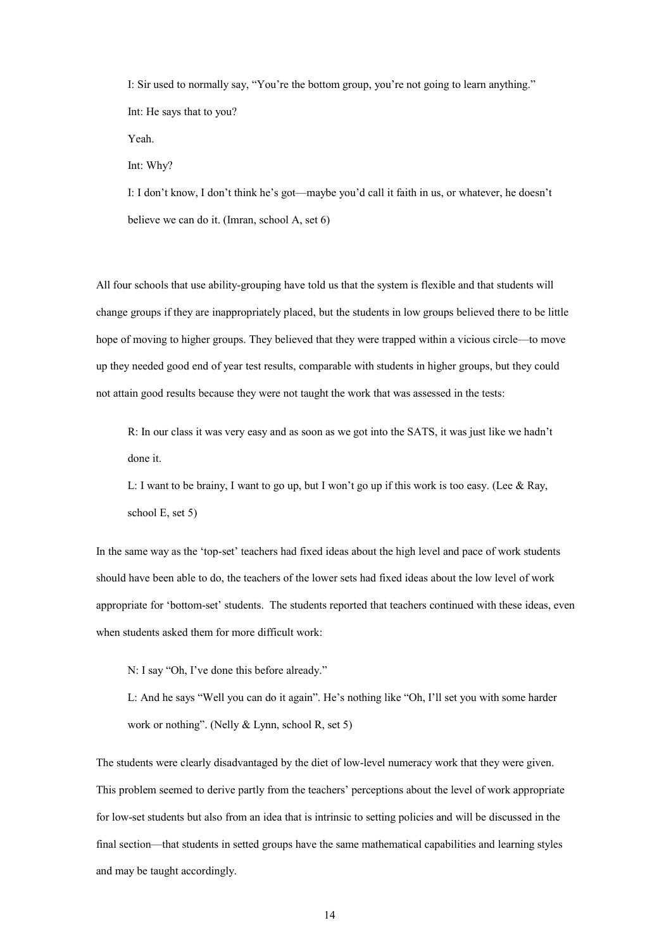I: Sir used to normally say, "You're the bottom group, you're not going to learn anything." Int: He says that to you?

Yeah.

Int: Why?

I: I don't know, I don't think he's got—maybe you'd call it faith in us, or whatever, he doesn't believe we can do it. (Imran, school A, set 6)

All four schools that use ability-grouping have told us that the system is flexible and that students will change groups if they are inappropriately placed, but the students in low groups believed there to be little hope of moving to higher groups. They believed that they were trapped within a vicious circle—to move up they needed good end of year test results, comparable with students in higher groups, but they could not attain good results because they were not taught the work that was assessed in the tests:

R: In our class it was very easy and as soon as we got into the SATS, it was just like we hadn't done it.

L: I want to be brainy, I want to go up, but I won't go up if this work is too easy. (Lee  $\&$  Ray, school E, set 5)

In the same way as the 'top-set' teachers had fixed ideas about the high level and pace of work students should have been able to do, the teachers of the lower sets had fixed ideas about the low level of work appropriate for 'bottom-set' students. The students reported that teachers continued with these ideas, even when students asked them for more difficult work:

N: I say "Oh, I've done this before already."

L: And he says "Well you can do it again". He's nothing like "Oh, I'll set you with some harder work or nothing". (Nelly & Lynn, school R, set 5)

The students were clearly disadvantaged by the diet of low-level numeracy work that they were given. This problem seemed to derive partly from the teachers' perceptions about the level of work appropriate for low-set students but also from an idea that is intrinsic to setting policies and will be discussed in the final section—that students in setted groups have the same mathematical capabilities and learning styles and may be taught accordingly.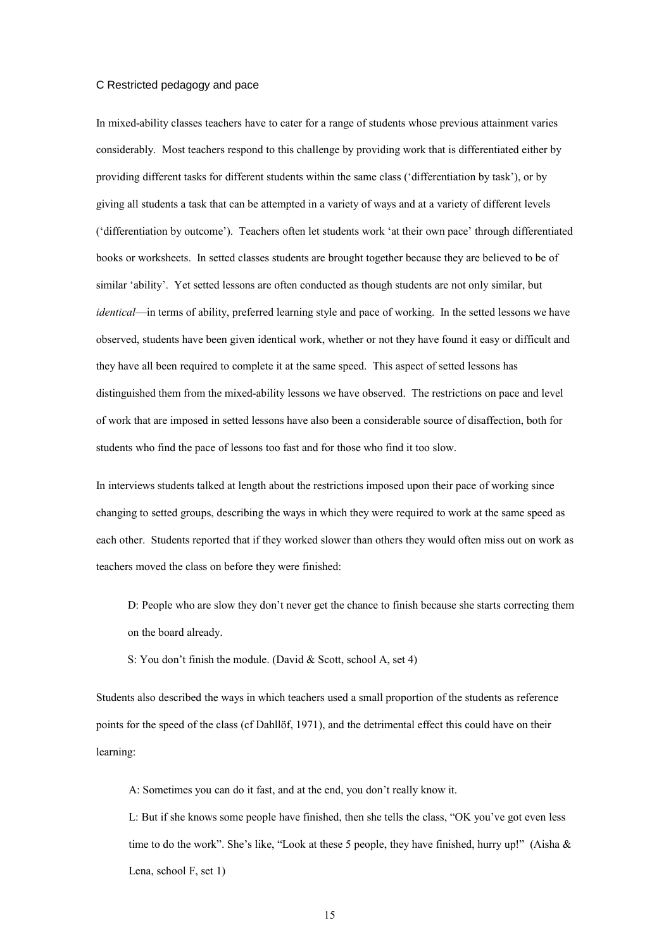#### C Restricted pedagogy and pace

In mixed-ability classes teachers have to cater for a range of students whose previous attainment varies considerably. Most teachers respond to this challenge by providing work that is differentiated either by providing different tasks for different students within the same class ('differentiation by task'), or by giving all students a task that can be attempted in a variety of ways and at a variety of different levels ('differentiation by outcome'). Teachers often let students work 'at their own pace' through differentiated books or worksheets. In setted classes students are brought together because they are believed to be of similar 'ability'. Yet setted lessons are often conducted as though students are not only similar, but *identical*—in terms of ability, preferred learning style and pace of working. In the setted lessons we have observed, students have been given identical work, whether or not they have found it easy or difficult and they have all been required to complete it at the same speed. This aspect of setted lessons has distinguished them from the mixed-ability lessons we have observed. The restrictions on pace and level of work that are imposed in setted lessons have also been a considerable source of disaffection, both for students who find the pace of lessons too fast and for those who find it too slow.

In interviews students talked at length about the restrictions imposed upon their pace of working since changing to setted groups, describing the ways in which they were required to work at the same speed as each other. Students reported that if they worked slower than others they would often miss out on work as teachers moved the class on before they were finished:

- D: People who are slow they don't never get the chance to finish because she starts correcting them on the board already.
- S: You don't finish the module. (David & Scott, school A, set 4)

Students also described the ways in which teachers used a small proportion of the students as reference points for the speed of the class (cf Dahllöf, 1971), and the detrimental effect this could have on their learning:

A: Sometimes you can do it fast, and at the end, you don't really know it.

L: But if she knows some people have finished, then she tells the class, "OK you've got even less time to do the work". She's like, "Look at these 5 people, they have finished, hurry up!" (Aisha  $\&$ Lena, school F, set 1)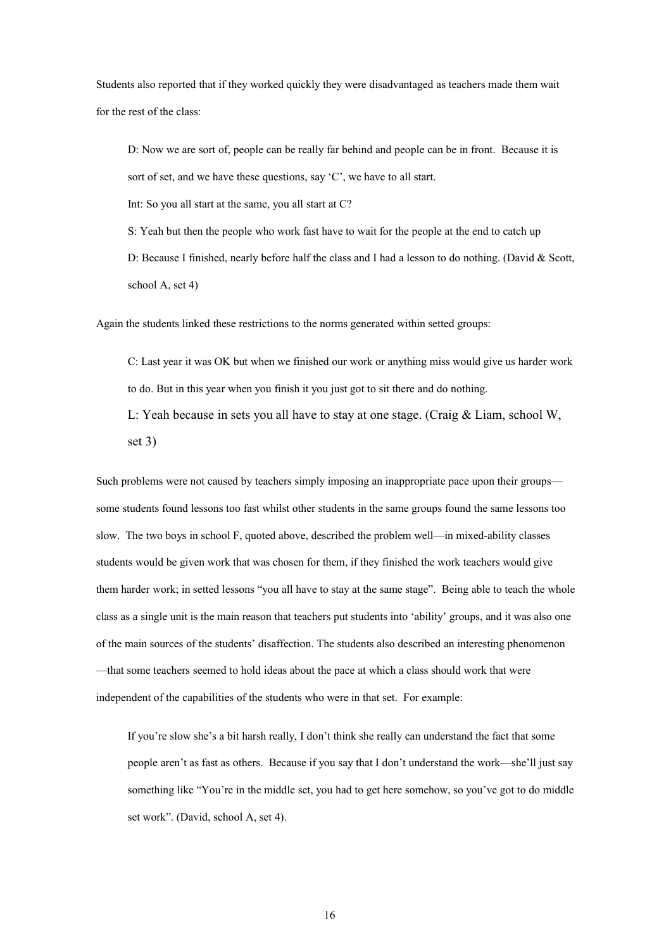Students also reported that if they worked quickly they were disadvantaged as teachers made them wait for the rest of the class:

D: Now we are sort of, people can be really far behind and people can be in front. Because it is sort of set, and we have these questions, say 'C', we have to all start. Int: So you all start at the same, you all start at C? S: Yeah but then the people who work fast have to wait for the people at the end to catch up

D: Because I finished, nearly before half the class and I had a lesson to do nothing. (David & Scott, school A, set 4)

Again the students linked these restrictions to the norms generated within setted groups:

C: Last year it was OK but when we finished our work or anything miss would give us harder work to do. But in this year when you finish it you just got to sit there and do nothing. L: Yeah because in sets you all have to stay at one stage. (Craig & Liam, school W,

set 3)

Such problems were not caused by teachers simply imposing an inappropriate pace upon their groups some students found lessons too fast whilst other students in the same groups found the same lessons too slow. The two boys in school F, quoted above, described the problem well—in mixed-ability classes students would be given work that was chosen for them, if they finished the work teachers would give them harder work; in setted lessons "you all have to stay at the same stage". Being able to teach the whole class as a single unit is the main reason that teachers put students into 'ability' groups, and it was also one of the main sources of the students' disaffection. The students also described an interesting phenomenon —that some teachers seemed to hold ideas about the pace at which a class should work that were independent of the capabilities of the students who were in that set. For example:

If you're slow she's a bit harsh really, I don't think she really can understand the fact that some people aren't as fast as others. Because if you say that I don't understand the work—she'll just say something like "You're in the middle set, you had to get here somehow, so you've got to do middle set work". (David, school A, set 4).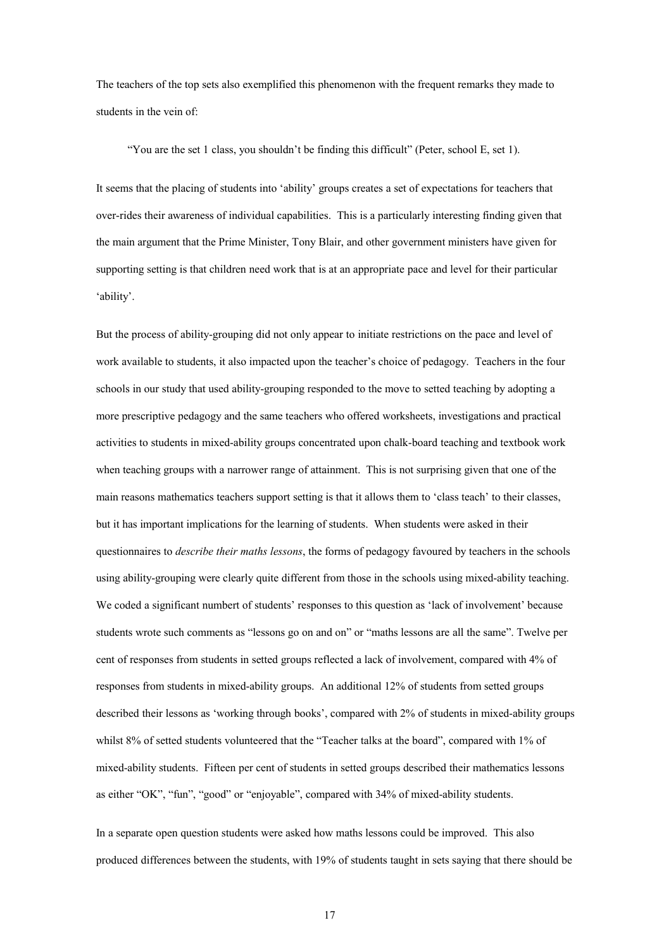The teachers of the top sets also exemplified this phenomenon with the frequent remarks they made to students in the vein of:

"You are the set 1 class, you shouldn't be finding this difficult" (Peter, school E, set 1).

It seems that the placing of students into 'ability' groups creates a set of expectations for teachers that over-rides their awareness of individual capabilities. This is a particularly interesting finding given that the main argument that the Prime Minister, Tony Blair, and other government ministers have given for supporting setting is that children need work that is at an appropriate pace and level for their particular 'ability'.

But the process of ability-grouping did not only appear to initiate restrictions on the pace and level of work available to students, it also impacted upon the teacher's choice of pedagogy. Teachers in the four schools in our study that used ability-grouping responded to the move to setted teaching by adopting a more prescriptive pedagogy and the same teachers who offered worksheets, investigations and practical activities to students in mixed-ability groups concentrated upon chalk-board teaching and textbook work when teaching groups with a narrower range of attainment. This is not surprising given that one of the main reasons mathematics teachers support setting is that it allows them to 'class teach' to their classes, but it has important implications for the learning of students. When students were asked in their questionnaires to *describe their maths lessons*, the forms of pedagogy favoured by teachers in the schools using ability-grouping were clearly quite different from those in the schools using mixed-ability teaching. We coded a significant numbert of students' responses to this question as 'lack of involvement' because students wrote such comments as "lessons go on and on" or "maths lessons are all the same". Twelve per cent of responses from students in setted groups reflected a lack of involvement, compared with 4% of responses from students in mixed-ability groups. An additional 12% of students from setted groups described their lessons as 'working through books', compared with 2% of students in mixed-ability groups whilst 8% of setted students volunteered that the "Teacher talks at the board", compared with 1% of mixed-ability students. Fifteen per cent of students in setted groups described their mathematics lessons as either "OK", "fun", "good" or "enjoyable", compared with 34% of mixed-ability students.

In a separate open question students were asked how maths lessons could be improved. This also produced differences between the students, with 19% of students taught in sets saying that there should be

17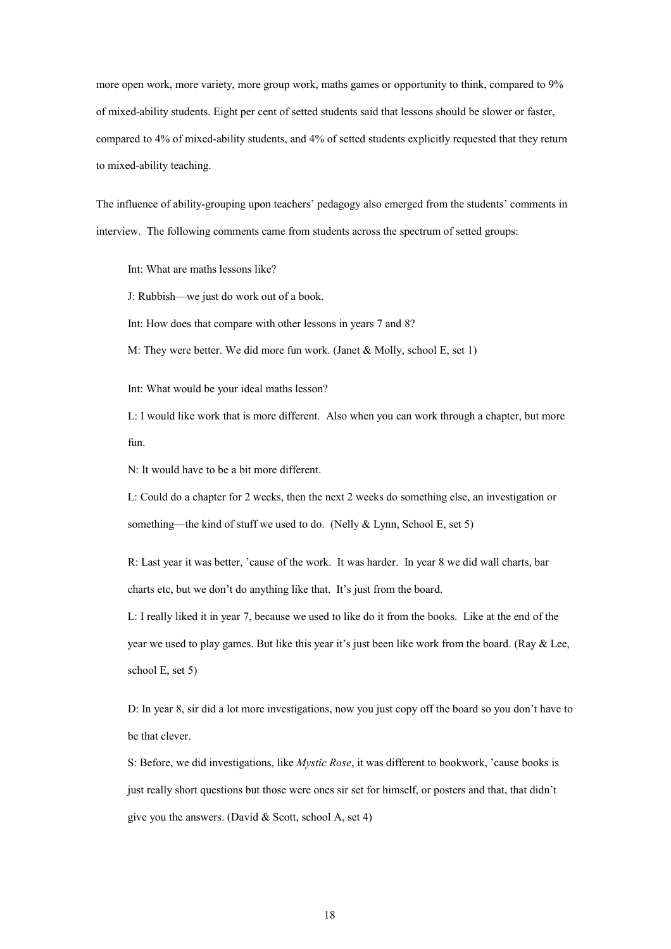more open work, more variety, more group work, maths games or opportunity to think, compared to 9% of mixed-ability students. Eight per cent of setted students said that lessons should be slower or faster, compared to 4% of mixed-ability students, and 4% of setted students explicitly requested that they return to mixed-ability teaching.

The influence of ability-grouping upon teachers' pedagogy also emerged from the students' comments in interview. The following comments came from students across the spectrum of setted groups:

Int: What are maths lessons like?

J: Rubbish—we just do work out of a book.

Int: How does that compare with other lessons in years 7 and 8?

M: They were better. We did more fun work. (Janet & Molly, school E, set 1)

Int: What would be your ideal maths lesson?

L: I would like work that is more different. Also when you can work through a chapter, but more fun.

N: It would have to be a bit more different.

L: Could do a chapter for 2 weeks, then the next 2 weeks do something else, an investigation or something—the kind of stuff we used to do. (Nelly & Lynn, School E, set 5)

R: Last year it was better, 'cause of the work. It was harder. In year 8 we did wall charts, bar charts etc, but we don't do anything like that. It's just from the board.

L: I really liked it in year 7, because we used to like do it from the books. Like at the end of the year we used to play games. But like this year it's just been like work from the board. (Ray & Lee, school E, set 5)

D: In year 8, sir did a lot more investigations, now you just copy off the board so you don't have to be that clever.

S: Before, we did investigations, like *Mystic Rose*, it was different to bookwork, 'cause books is just really short questions but those were ones sir set for himself, or posters and that, that didn't give you the answers. (David  $& Scott, school A, set 4$ )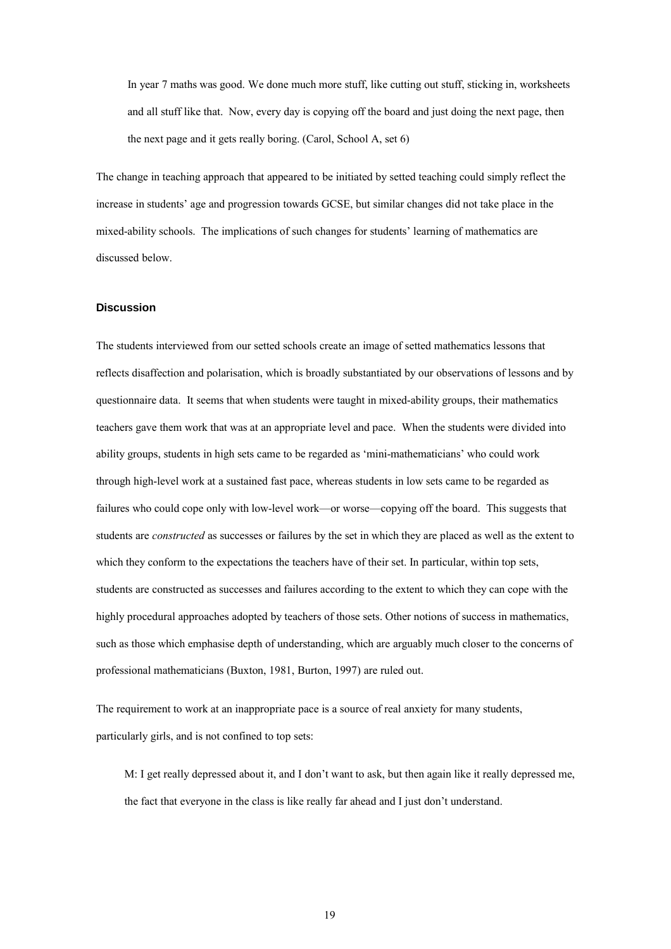In year 7 maths was good. We done much more stuff, like cutting out stuff, sticking in, worksheets and all stuff like that. Now, every day is copying off the board and just doing the next page, then the next page and it gets really boring. (Carol, School A, set 6)

The change in teaching approach that appeared to be initiated by setted teaching could simply reflect the increase in students' age and progression towards GCSE, but similar changes did not take place in the mixed-ability schools. The implications of such changes for students' learning of mathematics are discussed below.

# **Discussion**

The students interviewed from our setted schools create an image of setted mathematics lessons that reflects disaffection and polarisation, which is broadly substantiated by our observations of lessons and by questionnaire data. It seems that when students were taught in mixed-ability groups, their mathematics teachers gave them work that was at an appropriate level and pace. When the students were divided into ability groups, students in high sets came to be regarded as 'mini-mathematicians' who could work through high-level work at a sustained fast pace, whereas students in low sets came to be regarded as failures who could cope only with low-level work—or worse—copying off the board. This suggests that students are *constructed* as successes or failures by the set in which they are placed as well as the extent to which they conform to the expectations the teachers have of their set. In particular, within top sets, students are constructed as successes and failures according to the extent to which they can cope with the highly procedural approaches adopted by teachers of those sets. Other notions of success in mathematics, such as those which emphasise depth of understanding, which are arguably much closer to the concerns of professional mathematicians (Buxton, 1981, Burton, 1997) are ruled out.

The requirement to work at an inappropriate pace is a source of real anxiety for many students, particularly girls, and is not confined to top sets:

M: I get really depressed about it, and I don't want to ask, but then again like it really depressed me, the fact that everyone in the class is like really far ahead and I just don't understand.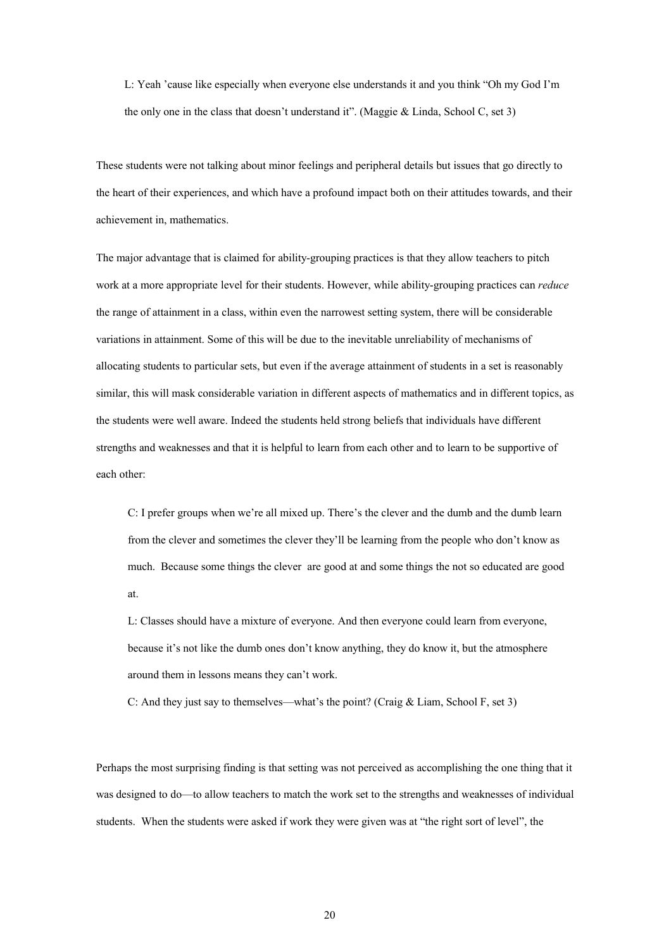L: Yeah 'cause like especially when everyone else understands it and you think "Oh my God I'm the only one in the class that doesn't understand it". (Maggie & Linda, School C, set 3)

These students were not talking about minor feelings and peripheral details but issues that go directly to the heart of their experiences, and which have a profound impact both on their attitudes towards, and their achievement in, mathematics.

The major advantage that is claimed for ability-grouping practices is that they allow teachers to pitch work at a more appropriate level for their students. However, while ability-grouping practices can *reduce* the range of attainment in a class, within even the narrowest setting system, there will be considerable variations in attainment. Some of this will be due to the inevitable unreliability of mechanisms of allocating students to particular sets, but even if the average attainment of students in a set is reasonably similar, this will mask considerable variation in different aspects of mathematics and in different topics, as the students were well aware. Indeed the students held strong beliefs that individuals have different strengths and weaknesses and that it is helpful to learn from each other and to learn to be supportive of each other:

C: I prefer groups when we're all mixed up. There's the clever and the dumb and the dumb learn from the clever and sometimes the clever they'll be learning from the people who don't know as much. Because some things the clever are good at and some things the not so educated are good at.

L: Classes should have a mixture of everyone. And then everyone could learn from everyone, because it's not like the dumb ones don't know anything, they do know it, but the atmosphere around them in lessons means they can't work.

C: And they just say to themselves—what's the point? (Craig & Liam, School F, set 3)

Perhaps the most surprising finding is that setting was not perceived as accomplishing the one thing that it was designed to do—to allow teachers to match the work set to the strengths and weaknesses of individual students. When the students were asked if work they were given was at "the right sort of level", the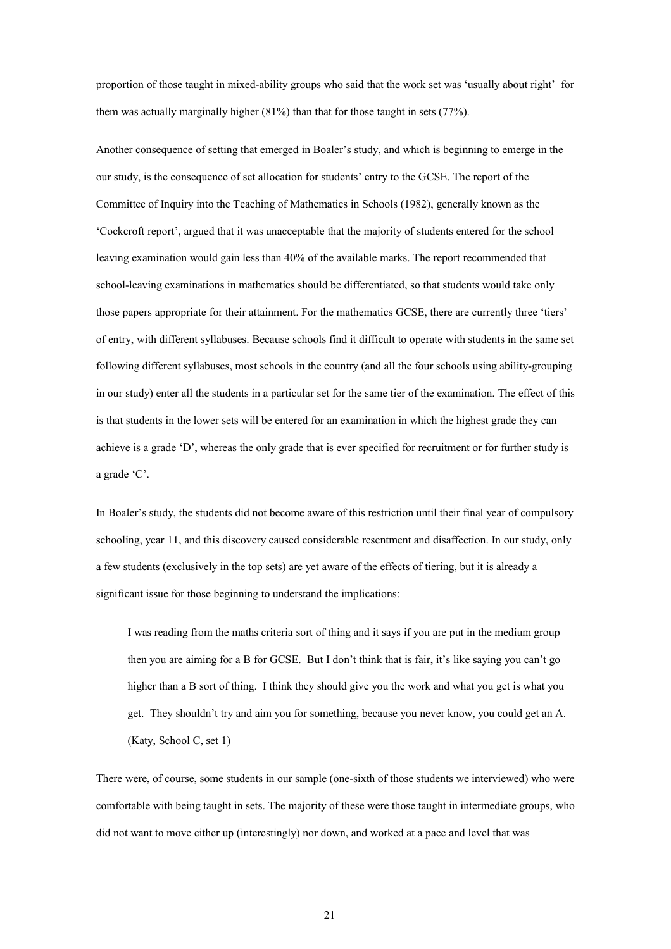proportion of those taught in mixed-ability groups who said that the work set was 'usually about right' for them was actually marginally higher (81%) than that for those taught in sets (77%).

Another consequence of setting that emerged in Boaler's study, and which is beginning to emerge in the our study, is the consequence of set allocation for students' entry to the GCSE. The report of the Committee of Inquiry into the Teaching of Mathematics in Schools (1982), generally known as the 'Cockcroft report', argued that it was unacceptable that the majority of students entered for the school leaving examination would gain less than 40% of the available marks. The report recommended that school-leaving examinations in mathematics should be differentiated, so that students would take only those papers appropriate for their attainment. For the mathematics GCSE, there are currently three 'tiers' of entry, with different syllabuses. Because schools find it difficult to operate with students in the same set following different syllabuses, most schools in the country (and all the four schools using ability-grouping in our study) enter all the students in a particular set for the same tier of the examination. The effect of this is that students in the lower sets will be entered for an examination in which the highest grade they can achieve is a grade 'D', whereas the only grade that is ever specified for recruitment or for further study is a grade 'C'.

In Boaler's study, the students did not become aware of this restriction until their final year of compulsory schooling, year 11, and this discovery caused considerable resentment and disaffection. In our study, only a few students (exclusively in the top sets) are yet aware of the effects of tiering, but it is already a significant issue for those beginning to understand the implications:

I was reading from the maths criteria sort of thing and it says if you are put in the medium group then you are aiming for a B for GCSE. But I don't think that is fair, it's like saying you can't go higher than a B sort of thing. I think they should give you the work and what you get is what you get. They shouldn't try and aim you for something, because you never know, you could get an A. (Katy, School C, set 1)

There were, of course, some students in our sample (one-sixth of those students we interviewed) who were comfortable with being taught in sets. The majority of these were those taught in intermediate groups, who did not want to move either up (interestingly) nor down, and worked at a pace and level that was

21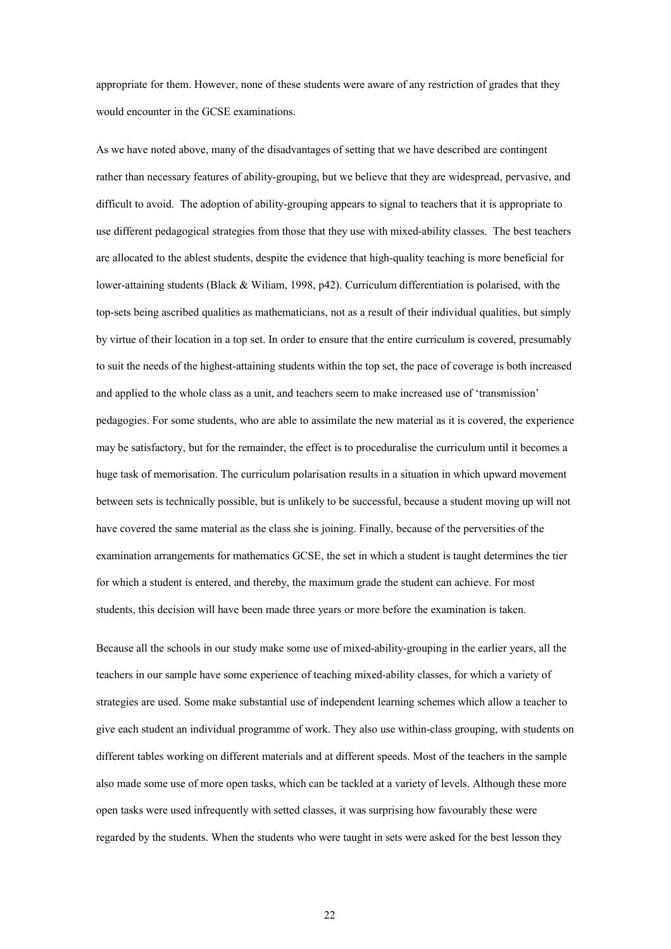appropriate for them. However, none of these students were aware of any restriction of grades that they would encounter in the GCSE examinations.

As we have noted above, many of the disadvantages of setting that we have described are contingent rather than necessary features of ability-grouping, but we believe that they are widespread, pervasive, and difficult to avoid. The adoption of ability-grouping appears to signal to teachers that it is appropriate to use different pedagogical strategies from those that they use with mixed-ability classes. The best teachers are allocated to the ablest students, despite the evidence that high-quality teaching is more beneficial for lower-attaining students (Black & Wiliam, 1998, p42). Curriculum differentiation is polarised, with the top-sets being ascribed qualities as mathematicians, not as a result of their individual qualities, but simply by virtue of their location in a top set. In order to ensure that the entire curriculum is covered, presumably to suit the needs of the highest-attaining students within the top set, the pace of coverage is both increased and applied to the whole class as a unit, and teachers seem to make increased use of 'transmission' pedagogies. For some students, who are able to assimilate the new material as it is covered, the experience may be satisfactory, but for the remainder, the effect is to proceduralise the curriculum until it becomes a huge task of memorisation. The curriculum polarisation results in a situation in which upward movement between sets is technically possible, but is unlikely to be successful, because a student moving up will not have covered the same material as the class she is joining. Finally, because of the perversities of the examination arrangements for mathematics GCSE, the set in which a student is taught determines the tier for which a student is entered, and thereby, the maximum grade the student can achieve. For most students, this decision will have been made three years or more before the examination is taken.

Because all the schools in our study make some use of mixed-ability-grouping in the earlier years, all the teachers in our sample have some experience of teaching mixed-ability classes, for which a variety of strategies are used. Some make substantial use of independent learning schemes which allow a teacher to give each student an individual programme of work. They also use within-class grouping, with students on different tables working on different materials and at different speeds. Most of the teachers in the sample also made some use of more open tasks, which can be tackled at a variety of levels. Although these more open tasks were used infrequently with setted classes, it was surprising how favourably these were regarded by the students. When the students who were taught in sets were asked for the best lesson they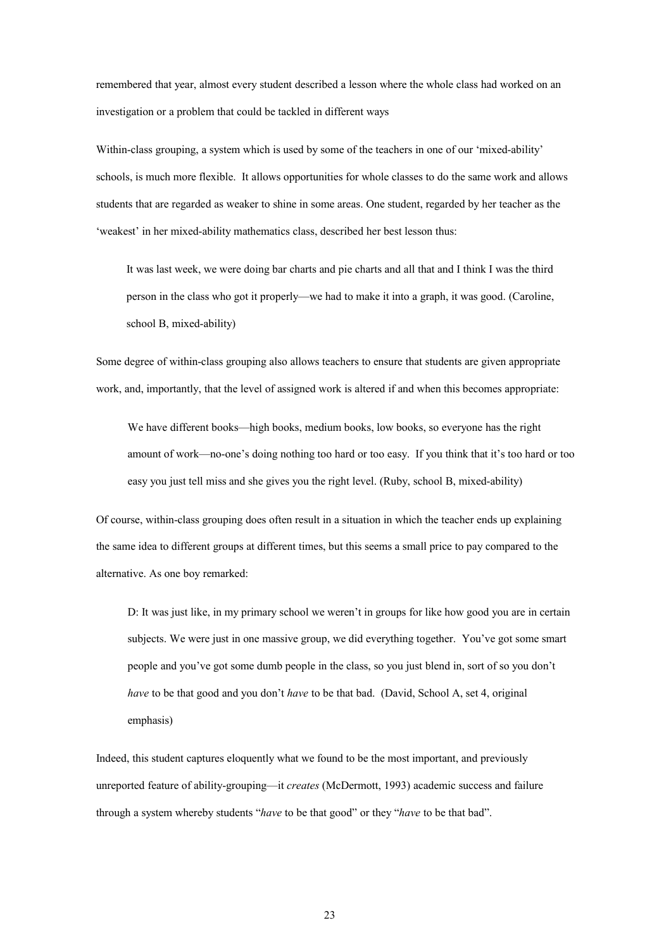remembered that year, almost every student described a lesson where the whole class had worked on an investigation or a problem that could be tackled in different ways

Within-class grouping, a system which is used by some of the teachers in one of our 'mixed-ability' schools, is much more flexible. It allows opportunities for whole classes to do the same work and allows students that are regarded as weaker to shine in some areas. One student, regarded by her teacher as the 'weakest' in her mixed-ability mathematics class, described her best lesson thus:

It was last week, we were doing bar charts and pie charts and all that and I think I was the third person in the class who got it properly—we had to make it into a graph, it was good. (Caroline, school B, mixed-ability)

Some degree of within-class grouping also allows teachers to ensure that students are given appropriate work, and, importantly, that the level of assigned work is altered if and when this becomes appropriate:

We have different books—high books, medium books, low books, so everyone has the right amount of work—no-one's doing nothing too hard or too easy. If you think that it's too hard or too easy you just tell miss and she gives you the right level. (Ruby, school B, mixed-ability)

Of course, within-class grouping does often result in a situation in which the teacher ends up explaining the same idea to different groups at different times, but this seems a small price to pay compared to the alternative. As one boy remarked:

D: It was just like, in my primary school we weren't in groups for like how good you are in certain subjects. We were just in one massive group, we did everything together. You've got some smart people and you've got some dumb people in the class, so you just blend in, sort of so you don't *have* to be that good and you don't *have* to be that bad. (David, School A, set 4, original emphasis)

Indeed, this student captures eloquently what we found to be the most important, and previously unreported feature of ability-grouping—it *creates* (McDermott, 1993) academic success and failure through a system whereby students "*have* to be that good" or they "*have* to be that bad".

23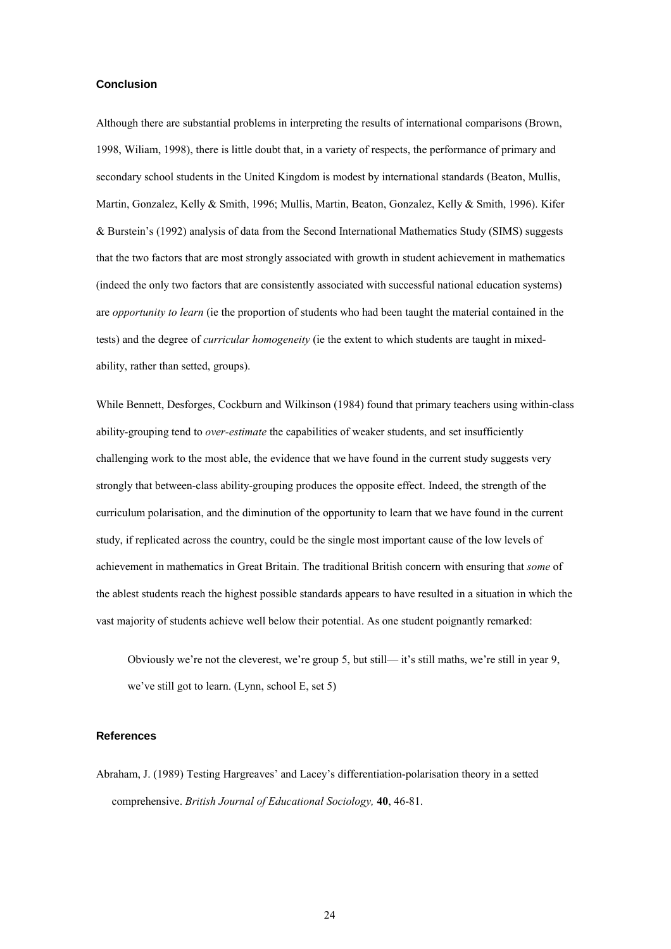# **Conclusion**

Although there are substantial problems in interpreting the results of international comparisons (Brown, 1998, Wiliam, 1998), there is little doubt that, in a variety of respects, the performance of primary and secondary school students in the United Kingdom is modest by international standards (Beaton, Mullis, Martin, Gonzalez, Kelly & Smith, 1996; Mullis, Martin, Beaton, Gonzalez, Kelly & Smith, 1996). Kifer & Burstein's (1992) analysis of data from the Second International Mathematics Study (SIMS) suggests that the two factors that are most strongly associated with growth in student achievement in mathematics (indeed the only two factors that are consistently associated with successful national education systems) are *opportunity to learn* (ie the proportion of students who had been taught the material contained in the tests) and the degree of *curricular homogeneity* (ie the extent to which students are taught in mixedability, rather than setted, groups).

While Bennett, Desforges, Cockburn and Wilkinson (1984) found that primary teachers using within-class ability-grouping tend to *over-estimate* the capabilities of weaker students, and set insufficiently challenging work to the most able, the evidence that we have found in the current study suggests very strongly that between-class ability-grouping produces the opposite effect. Indeed, the strength of the curriculum polarisation, and the diminution of the opportunity to learn that we have found in the current study, if replicated across the country, could be the single most important cause of the low levels of achievement in mathematics in Great Britain. The traditional British concern with ensuring that *some* of the ablest students reach the highest possible standards appears to have resulted in a situation in which the vast majority of students achieve well below their potential. As one student poignantly remarked:

Obviously we're not the cleverest, we're group 5, but still— it's still maths, we're still in year 9, we've still got to learn. (Lynn, school E, set 5)

#### **References**

Abraham, J. (1989) Testing Hargreaves' and Lacey's differentiation-polarisation theory in a setted comprehensive. *British Journal of Educational Sociology,* **40**, 46-81.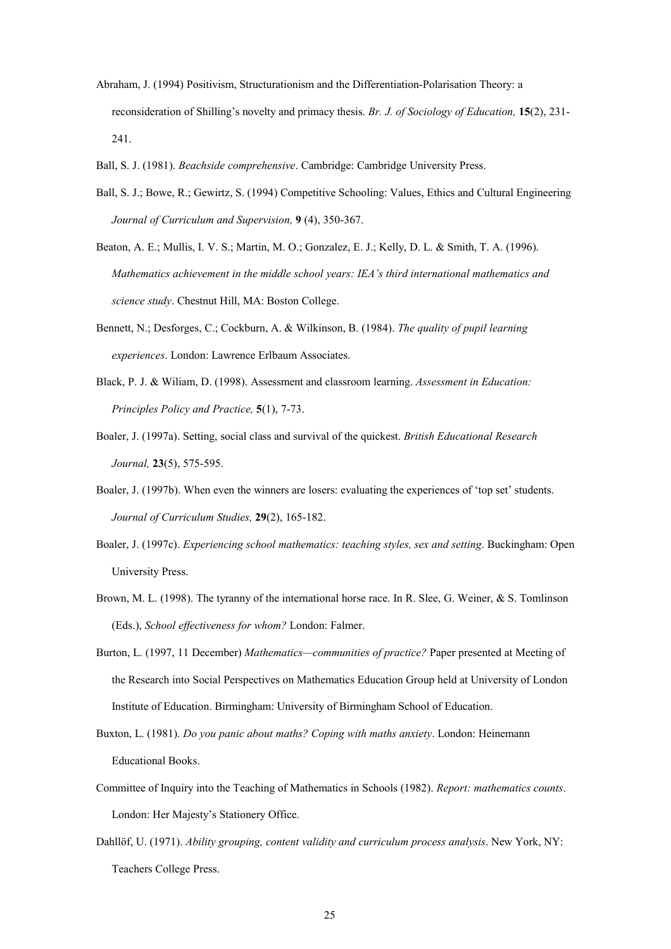- Abraham, J. (1994) Positivism, Structurationism and the Differentiation-Polarisation Theory: a reconsideration of Shilling's novelty and primacy thesis. *Br. J. of Sociology of Education,* **15**(2), 231- 241.
- Ball, S. J. (1981). *Beachside comprehensive*. Cambridge: Cambridge University Press.
- Ball, S. J.; Bowe, R.; Gewirtz, S. (1994) Competitive Schooling: Values, Ethics and Cultural Engineering *Journal of Curriculum and Supervision,* **9** (4), 350-367.
- Beaton, A. E.; Mullis, I. V. S.; Martin, M. O.; Gonzalez, E. J.; Kelly, D. L. & Smith, T. A. (1996). *Mathematics achievement in the middle school years: IEA's third international mathematics and science study*. Chestnut Hill, MA: Boston College.
- Bennett, N.; Desforges, C.; Cockburn, A. & Wilkinson, B. (1984). *The quality of pupil learning experiences*. London: Lawrence Erlbaum Associates.
- Black, P. J. & Wiliam, D. (1998). Assessment and classroom learning. *Assessment in Education: Principles Policy and Practice,* **5**(1), 7-73.
- Boaler, J. (1997a). Setting, social class and survival of the quickest. *British Educational Research Journal,* **23**(5), 575-595.
- Boaler, J. (1997b). When even the winners are losers: evaluating the experiences of 'top set' students. *Journal of Curriculum Studies,* **29**(2), 165-182.
- Boaler, J. (1997c). *Experiencing school mathematics: teaching styles, sex and setting*. Buckingham: Open University Press.
- Brown, M. L. (1998). The tyranny of the international horse race. In R. Slee, G. Weiner, & S. Tomlinson (Eds.), *School effectiveness for whom?* London: Falmer.
- Burton, L. (1997, 11 December) *Mathematics—communities of practice?* Paper presented at Meeting of the Research into Social Perspectives on Mathematics Education Group held at University of London Institute of Education. Birmingham: University of Birmingham School of Education.
- Buxton, L. (1981). *Do you panic about maths? Coping with maths anxiety*. London: Heinemann Educational Books.
- Committee of Inquiry into the Teaching of Mathematics in Schools (1982). *Report: mathematics counts*. London: Her Majesty's Stationery Office.
- Dahllöf, U. (1971). *Ability grouping, content validity and curriculum process analysis*. New York, NY: Teachers College Press.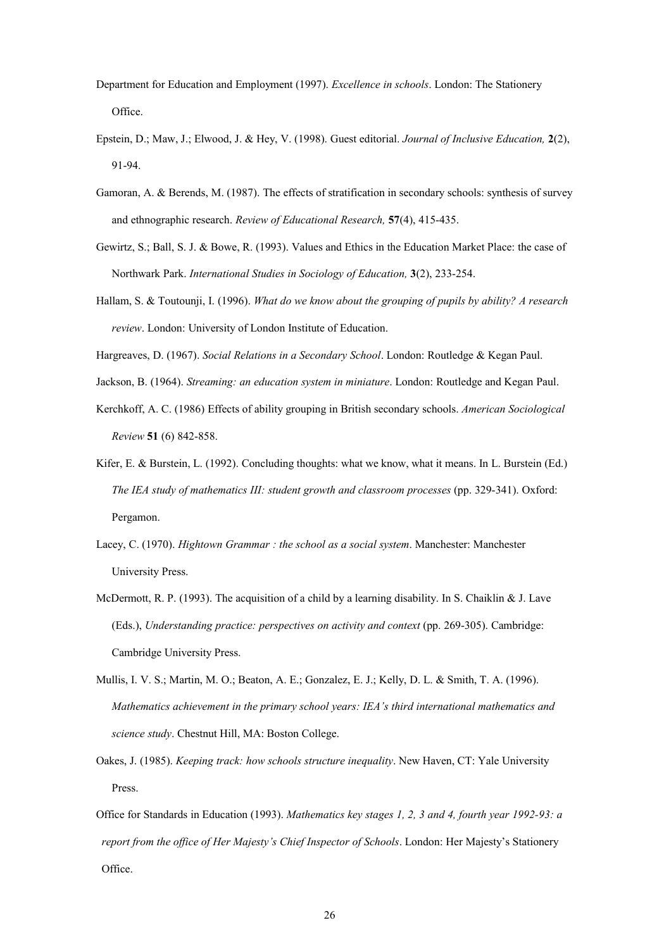- Department for Education and Employment (1997). *Excellence in schools*. London: The Stationery Office.
- Epstein, D.; Maw, J.; Elwood, J. & Hey, V. (1998). Guest editorial. *Journal of Inclusive Education,* **2**(2), 91-94.
- Gamoran, A. & Berends, M. (1987). The effects of stratification in secondary schools: synthesis of survey and ethnographic research. *Review of Educational Research,* **57**(4), 415-435.
- Gewirtz, S.; Ball, S. J. & Bowe, R. (1993). Values and Ethics in the Education Market Place: the case of Northwark Park. *International Studies in Sociology of Education,* **3**(2), 233-254.
- Hallam, S. & Toutounji, I. (1996). *What do we know about the grouping of pupils by ability? A research review*. London: University of London Institute of Education.
- Hargreaves, D. (1967). *Social Relations in a Secondary School*. London: Routledge & Kegan Paul.
- Jackson, B. (1964). *Streaming: an education system in miniature*. London: Routledge and Kegan Paul.
- Kerchkoff, A. C. (1986) Effects of ability grouping in British secondary schools. *American Sociological Review* **51** (6) 842-858.
- Kifer, E. & Burstein, L. (1992). Concluding thoughts: what we know, what it means. In L. Burstein (Ed.) *The IEA study of mathematics III: student growth and classroom processes* (pp. 329-341). Oxford: Pergamon.
- Lacey, C. (1970). *Hightown Grammar : the school as a social system*. Manchester: Manchester University Press.
- McDermott, R. P. (1993). The acquisition of a child by a learning disability. In S. Chaiklin & J. Lave (Eds.), *Understanding practice: perspectives on activity and context* (pp. 269-305). Cambridge: Cambridge University Press.
- Mullis, I. V. S.; Martin, M. O.; Beaton, A. E.; Gonzalez, E. J.; Kelly, D. L. & Smith, T. A. (1996). *Mathematics achievement in the primary school years: IEA's third international mathematics and science study*. Chestnut Hill, MA: Boston College.
- Oakes, J. (1985). *Keeping track: how schools structure inequality*. New Haven, CT: Yale University Press.
- Office for Standards in Education (1993). *Mathematics key stages 1, 2, 3 and 4, fourth year 1992-93: a report from the office of Her Majesty's Chief Inspector of Schools*. London: Her Majesty's Stationery Office.